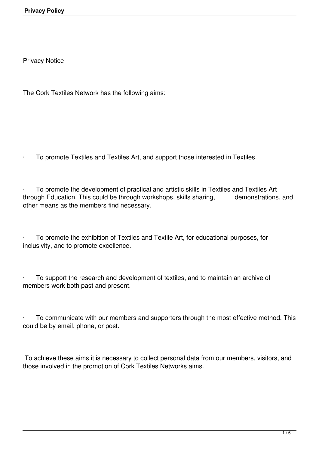Privacy Notice

The Cork Textiles Network has the following aims:

To promote Textiles and Textiles Art, and support those interested in Textiles.

To promote the development of practical and artistic skills in Textiles and Textiles Art through Education. This could be through workshops, skills sharing, demonstrations, and other means as the members find necessary.

· To promote the exhibition of Textiles and Textile Art, for educational purposes, for inclusivity, and to promote excellence.

To support the research and development of textiles, and to maintain an archive of members work both past and present.

To communicate with our members and supporters through the most effective method. This could be by email, phone, or post.

To achieve these aims it is necessary to collect personal data from our members, visitors, and those involved in the promotion of Cork Textiles Networks aims.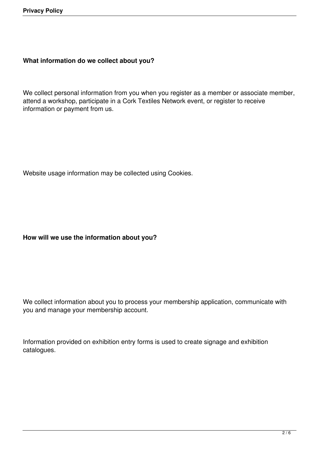### **What information do we collect about you?**

We collect personal information from you when you register as a member or associate member, attend a workshop, participate in a Cork Textiles Network event, or register to receive information or payment from us.

Website usage information may be collected using Cookies.

## **How will we use the information about you?**

We collect information about you to process your membership application, communicate with you and manage your membership account.

Information provided on exhibition entry forms is used to create signage and exhibition catalogues.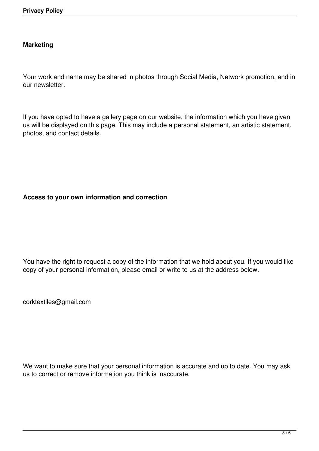# **Marketing**

Your work and name may be shared in photos through Social Media, Network promotion, and in our newsletter.

If you have opted to have a gallery page on our website, the information which you have given us will be displayed on this page. This may include a personal statement, an artistic statement, photos, and contact details.

# **Access to your own information and correction**

You have the right to request a copy of the information that we hold about you. If you would like copy of your personal information, please email or write to us at the address below.

corktextiles@gmail.com

We want to make sure that your personal information is accurate and up to date. You may ask us to correct or remove information you think is inaccurate.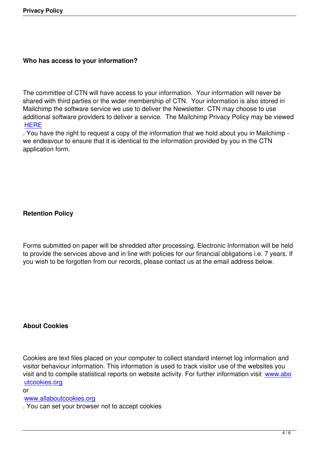#### **Who has access to your information?**

The committee of CTN will have access to your information. Your information will never be shared with third parties or the wider membership of CTN. Your information is also stored in Mailchimp the software service we use to deliver the Newsletter. CTN may choose to use additional software providers to deliver a service. The Mailchimp Privacy Policy may be viewed **HERE** 

. You have the right to request a copy of the information that we hold about you in Mailchimp we endeavour to ensure that it is identical to the information provided by you in the CTN [applica](https://mailchimp.com/legal/privacy/?_ga=2.148859647.994815325.1526394036-1399937524.1459498923)tion form.

## **Retention Policy**

Forms submitted on paper will be shredded after processing. Electronic Information will be held to provide the services above and in line with policies for our financial obligations i.e. 7 years. If you wish to be forgotten from our records, please contact us at the email address below.

## **About Cookies**

Cookies are text files placed on your computer to collect standard internet log information and visitor behaviour information. This information is used to track visitor use of the websites you visit and to compile statistical reports on website activity. For further information visit www.abo utcookies.org

or

www.allaboutcookies.org

[. You can set y](http://www.aboutcookies.org/)our browser not to accept cookies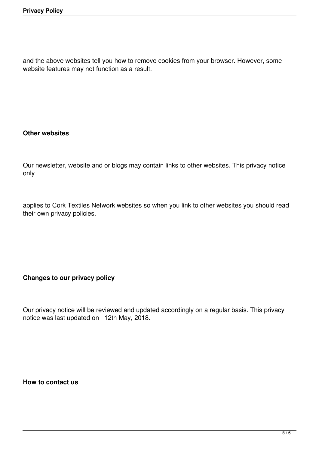and the above websites tell you how to remove cookies from your browser. However, some website features may not function as a result.

## **Other websites**

Our newsletter, website and or blogs may contain links to other websites. This privacy notice only

applies to Cork Textiles Network websites so when you link to other websites you should read their own privacy policies.

## **Changes to our privacy policy**

Our privacy notice will be reviewed and updated accordingly on a regular basis. This privacy notice was last updated on 12th May, 2018.

**How to contact us**